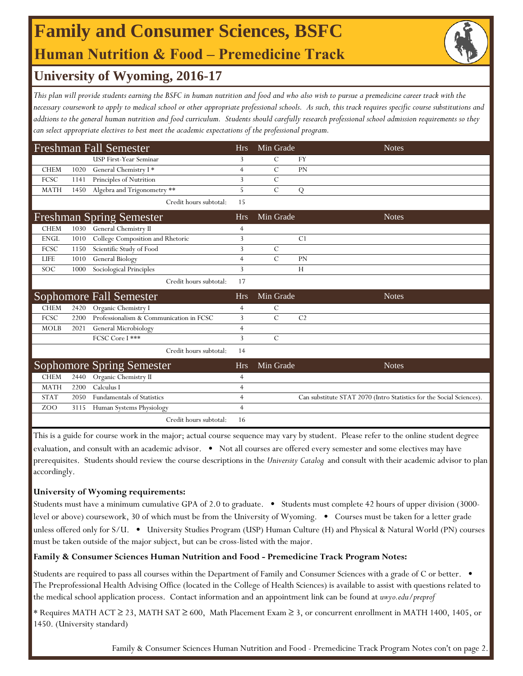## **Human Nutrition & Food ‒ Premedicine Track Family and Consumer Sciences, BSFC**



## **University of Wyoming, 2016-17**

*This plan will provide students earning the BSFC in human nutrition and food and who also wish to pursue a premedicine career track with the necessary coursework to apply to medical school or other appropriate professional schools. As such, this track requires specific course substitutions and addtions to the general human nutrition and food curriculum. Students should carefully research professional school admission requirements so they can select appropriate electives to best meet the academic expectations of the professional program.*

| <b>Freshman Fall Semester</b>   |      |                                         |                | Min Grade     | <b>Notes</b>                                                         |
|---------------------------------|------|-----------------------------------------|----------------|---------------|----------------------------------------------------------------------|
|                                 |      | <b>USP First-Year Seminar</b>           | 3              | C             | <b>FY</b>                                                            |
| <b>CHEM</b>                     | 1020 | General Chemistry I*                    | $\overline{4}$ | $\mathcal{C}$ | PN                                                                   |
| FCSC                            | 1141 | Principles of Nutrition                 | 3              | $\mathcal{C}$ |                                                                      |
| <b>MATH</b>                     | 1450 | Algebra and Trigonometry **             | 5              | $\mathcal{C}$ | ${\bf Q}$                                                            |
|                                 |      | Credit hours subtotal:                  | 15             |               |                                                                      |
| <b>Freshman Spring Semester</b> |      |                                         | <b>Hrs</b>     | Min Grade     | <b>Notes</b>                                                         |
| <b>CHEM</b>                     | 1030 | General Chemistry II                    | $\overline{4}$ |               |                                                                      |
| <b>ENGL</b>                     | 1010 | College Composition and Rhetoric        | 3              |               | C <sub>1</sub>                                                       |
| FCSC                            | 1150 | Scientific Study of Food                | 3              | $\mathcal{C}$ |                                                                      |
| <b>LIFE</b>                     | 1010 | General Biology                         | $\overline{4}$ | $\mathcal{C}$ | <b>PN</b>                                                            |
| <b>SOC</b>                      | 1000 | Sociological Principles                 | 3              |               | H                                                                    |
|                                 |      | Credit hours subtotal:                  | 17             |               |                                                                      |
|                                 |      | Sophomore Fall Semester                 | <b>Hrs</b>     | Min Grade     | <b>Notes</b>                                                         |
| <b>CHEM</b>                     | 2420 | Organic Chemistry I                     | $\overline{4}$ | $\mathcal{C}$ |                                                                      |
| FCSC                            | 2200 | Professionalism & Communication in FCSC | 3              | $\mathcal{C}$ | C <sub>2</sub>                                                       |
| <b>MOLB</b>                     | 2021 | General Microbiology                    | $\overline{4}$ |               |                                                                      |
|                                 |      | FCSC Core I ***                         | 3              | $\mathcal{C}$ |                                                                      |
|                                 |      | Credit hours subtotal:                  | 14             |               |                                                                      |
|                                 |      | <b>Sophomore Spring Semester</b>        | <b>Hrs</b>     | Min Grade     | <b>Notes</b>                                                         |
| <b>CHEM</b>                     | 2440 | Organic Chemistry II                    | $\overline{4}$ |               |                                                                      |
| <b>MATH</b>                     | 2200 | Calculus I                              | $\overline{4}$ |               |                                                                      |
| <b>STAT</b>                     | 2050 | <b>Fundamentals of Statistics</b>       | $\overline{4}$ |               | Can substitute STAT 2070 (Intro Statistics for the Social Sciences). |
| Z <sub>O</sub> O                | 3115 | Human Systems Physiology                | $\overline{4}$ |               |                                                                      |
|                                 |      | Credit hours subtotal:                  | 16             |               |                                                                      |

This is a guide for course work in the major; actual course sequence may vary by student. Please refer to the online student degree evaluation, and consult with an academic advisor. • Not all courses are offered every semester and some electives may have prerequisites. Students should review the course descriptions in the *University Catalog* and consult with their academic advisor to plan accordingly.

### **University of Wyoming requirements:**

Students must have a minimum cumulative GPA of 2.0 to graduate. • Students must complete 42 hours of upper division (3000 level or above) coursework, 30 of which must be from the University of Wyoming. • Courses must be taken for a letter grade unless offered only for S/U. • University Studies Program (USP) Human Culture (H) and Physical & Natural World (PN) courses must be taken outside of the major subject, but can be cross-listed with the major.

### **Family & Consumer Sciences Human Nutrition and Food - Premedicine Track Program Notes:**

Students are required to pass all courses within the Department of Family and Consumer Sciences with a grade of C or better.  $\bullet$ The Preprofessional Health Advising Office (located in the College of Health Sciences) is available to assist with questions related to the medical school application process. Contact information and an appointment link can be found at *uwyo.edu/preprof*

\* Requires MATH ACT ≥ 23, MATH SAT ≥ 600, Math Placement Exam ≥ 3, or concurrent enrollment in MATH 1400, 1405, or 1450. (University standard)

Family & Consumer Sciences Human Nutrition and Food - Premedicine Track Program Notes con't on page 2.